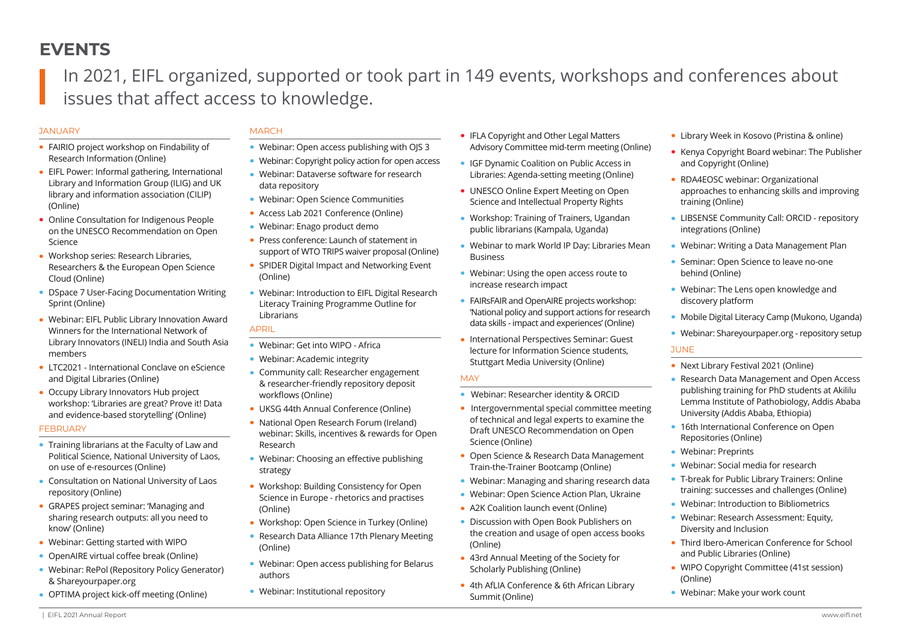# **EVENTS**

In 2021, EIFL organized, supported or took part in 149 events, workshops and conferences about issues that affect access to knowledge.

#### **JANUARY**

## **·** FAIRIO project workshop on Findability of

- Research Information (Online) **·** EIFL Power: Informal gathering, International Library and Information Group (ILIG) and UK
- library and information association (CILIP) (Online) **·** Online Consultation for Indigenous People on the UNESCO Recommendation on Open
- Science **·** Workshop series: Research Libraries,
- Researchers & the European Open Science Cloud (Online)
- **·** DSpace 7 User-Facing Documentation Writing Sprint (Online)
- **·** Webinar: EIFL Public Library Innovation Award Winners for the International Network of Library Innovators (INELI) India and South Asia members
- **·** LTC2021 International Conclave on eScience and Digital Libraries (Online)
- **·** Occupy Library Innovators Hub project workshop: 'Libraries are great? Prove it! Data and evidence-based storytelling' (Online)

#### **FEBRUARY**

- **·** Training librarians at the Faculty of Law and Political Science, National University of Laos, on use of e-resources (Online)
- **·** Consultation on National University of Laos repository (Online)
- **·** GRAPES project seminar: 'Managing and sharing research outputs: all you need to know' (Online)
- **·** Webinar: Getting started with WIPO
- **·** OpenAIRE virtual coffee break (Online)
- **·** Webinar: RePol (Repository Policy Generator) & Shareyourpaper.org
- **·** OPTIMA project kick-off meeting (Online)

## **MARCH**

- **·** Webinar: Open access publishing with OJS 3
- **·** Webinar: Copyright policy action for open access
- **·** Webinar: Dataverse software for research data repository
- **·** Webinar: Open Science Communities
- **·** Access Lab 2021 Conference (Online)
- **·** Webinar: Enago product demo
- **·** Press conference: Launch of statement in support of WTO TRIPS waiver proposal (Online)
- **·** SPIDER Digital Impact and Networking Event (Online)
- **·** Webinar: Introduction to EIFL Digital Research Literacy Training Programme Outline for Librarians

## APRIL

- **·** Webinar: Get into WIPO Africa
- **·** Webinar: Academic integrity
- **·** Community call: Researcher engagement & researcher-friendly repository deposit workflows (Online)
- **·** UKSG 44th Annual Conference (Online)
- **·** National Open Research Forum (Ireland) webinar: Skills, incentives & rewards for Open Research
- **·** Webinar: Choosing an effective publishing strategy
- **·** Workshop: Building Consistency for Open Science in Europe - rhetorics and practises (Online)
- **·** Workshop: Open Science in Turkey (Online)
- **·** Research Data Alliance 17th Plenary Meeting (Online)
- **·** Webinar: Open access publishing for Belarus authors
- **·** Webinar: Institutional repository
- **·** IFLA Copyright and Other Legal Matters Advisory Committee mid-term meeting (Online)
- **·** IGF Dynamic Coalition on Public Access in Libraries: Agenda-setting meeting (Online)
- **·** UNESCO Online Expert Meeting on Open Science and Intellectual Property Rights
- **·** Workshop: Training of Trainers, Ugandan public librarians (Kampala, Uganda)
- **·** Webinar to mark World IP Day: Libraries Mean Business
- **·** Webinar: Using the open access route to increase research impact
- **·** FAIRsFAIR and OpenAIRE projects workshop: 'National policy and support actions for research data skills - impact and experiences' (Online)
- **·** International Perspectives Seminar: Guest lecture for Information Science students, Stuttgart Media University (Online)

#### **MAY**

- **·** Webinar: Researcher identity & ORCID
- **·** Intergovernmental special committee meeting of technical and legal experts to examine the Draft UNESCO Recommendation on Open Science (Online)
- **·** Open Science & Research Data Management Train-the-Trainer Bootcamp (Online)
- **·** Webinar: Managing and sharing research data
- **·** Webinar: Open Science Action Plan, Ukraine
- **·** A2K Coalition launch event (Online)
- **·** Discussion with Open Book Publishers on the creation and usage of open access books (Online)
- **·** 43rd Annual Meeting of the Society for Scholarly Publishing (Online)
- **·** 4th AfLIA Conference & 6th African Library Summit (Online)
- **·** Library Week in Kosovo (Pristina & online)
- **·** Kenya Copyright Board webinar: The Publisher and Copyright (Online)
- **·** RDA4EOSC webinar: Organizational approaches to enhancing skills and improving training (Online)
- **·** LIBSENSE Community Call: ORCID repository integrations (Online)
- **·** Webinar: Writing a Data Management Plan
- **·** Seminar: Open Science to leave no-one behind (Online)
- **·** Webinar: The Lens open knowledge and discovery platform
- **·** Mobile Digital Literacy Camp (Mukono, Uganda)
- **·** Webinar: Shareyourpaper.org repository setup

#### **JUNE**

- **·** Next Library Festival 2021 (Online)
- **·** Research Data Management and Open Access publishing training for PhD students at Akililu Lemma Institute of Pathobiology, Addis Ababa University (Addis Ababa, Ethiopia)
- **·** 16th International Conference on Open Repositories (Online)
- **·** Webinar: Preprints
- **·** Webinar: Social media for research
- **·** T-break for Public Library Trainers: Online training: successes and challenges (Online)
- **·** Webinar: Introduction to Bibliometrics
- **·** Webinar: Research Assessment: Equity, Diversity and Inclusion
- **·** Third Ibero-American Conference for School and Public Libraries (Online)
- **·** WIPO Copyright Committee (41st session) (Online)
- **·** Webinar: Make your work count